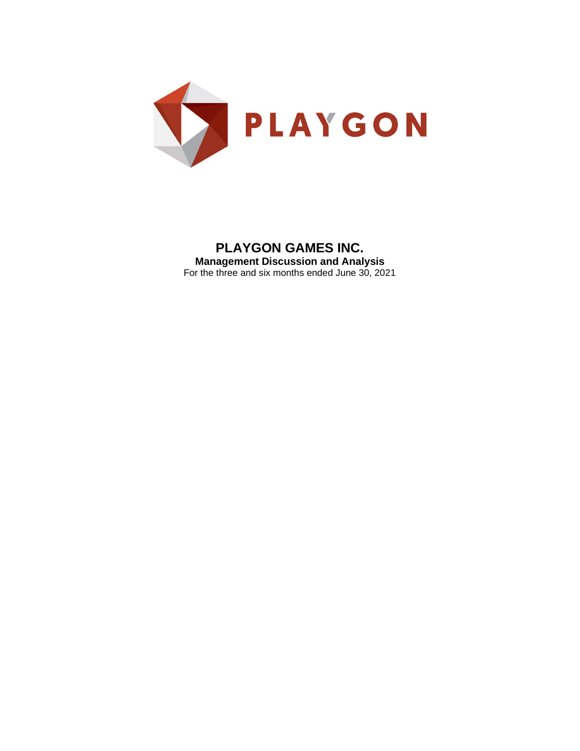

# **PLAYGON GAMES INC. Management Discussion and Analysis** For the three and six months ended June 30, 2021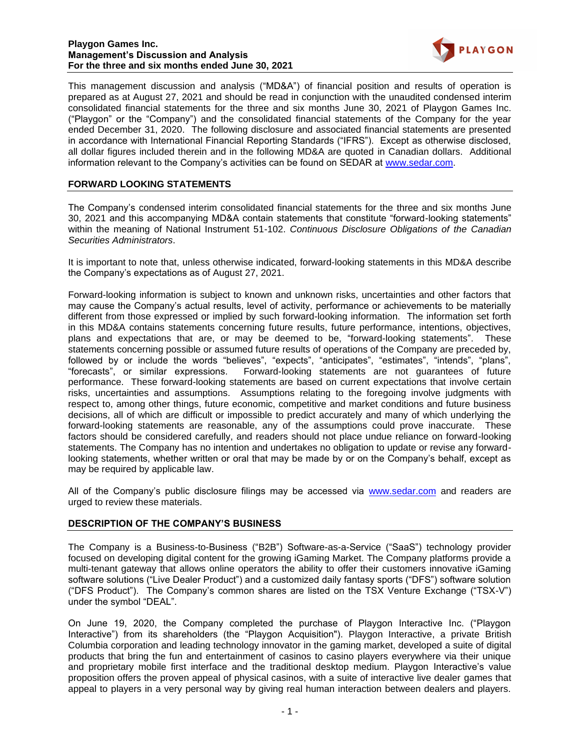#### **Playgon Games Inc. Management's Discussion and Analysis For the three and six months ended June 30, 2021**



This management discussion and analysis ("MD&A") of financial position and results of operation is prepared as at August 27, 2021 and should be read in conjunction with the unaudited condensed interim consolidated financial statements for the three and six months June 30, 2021 of Playgon Games Inc. ("Playgon" or the "Company") and the consolidated financial statements of the Company for the year ended December 31, 2020. The following disclosure and associated financial statements are presented in accordance with International Financial Reporting Standards ("IFRS"). Except as otherwise disclosed, all dollar figures included therein and in the following MD&A are quoted in Canadian dollars. Additional information relevant to the Company's activities can be found on SEDAR at www.sedar.com.

# **FORWARD LOOKING STATEMENTS**

The Company's condensed interim consolidated financial statements for the three and six months June 30, 2021 and this accompanying MD&A contain statements that constitute "forward-looking statements" within the meaning of National Instrument 51-102. *Continuous Disclosure Obligations of the Canadian Securities Administrators*.

It is important to note that, unless otherwise indicated, forward-looking statements in this MD&A describe the Company's expectations as of August 27, 2021.

Forward-looking information is subject to known and unknown risks, uncertainties and other factors that may cause the Company's actual results, level of activity, performance or achievements to be materially different from those expressed or implied by such forward-looking information. The information set forth in this MD&A contains statements concerning future results, future performance, intentions, objectives, plans and expectations that are, or may be deemed to be, "forward-looking statements". These statements concerning possible or assumed future results of operations of the Company are preceded by, followed by or include the words "believes", "expects", "anticipates", "estimates", "intends", "plans", "forecasts", or similar expressions. Forward-looking statements are not guarantees of future performance. These forward-looking statements are based on current expectations that involve certain risks, uncertainties and assumptions. Assumptions relating to the foregoing involve judgments with respect to, among other things, future economic, competitive and market conditions and future business decisions, all of which are difficult or impossible to predict accurately and many of which underlying the forward-looking statements are reasonable, any of the assumptions could prove inaccurate. These factors should be considered carefully, and readers should not place undue reliance on forward-looking statements. The Company has no intention and undertakes no obligation to update or revise any forwardlooking statements, whether written or oral that may be made by or on the Company's behalf, except as may be required by applicable law.

All of the Company's public disclosure filings may be accessed via [www.sedar.com](http://www.sedar.com/) and readers are urged to review these materials.

### **DESCRIPTION OF THE COMPANY'S BUSINESS**

The Company is a Business-to-Business ("B2B") Software-as-a-Service ("SaaS") technology provider focused on developing digital content for the growing iGaming Market. The Company platforms provide a multi-tenant gateway that allows online operators the ability to offer their customers innovative iGaming software solutions ("Live Dealer Product") and a customized daily fantasy sports ("DFS") software solution ("DFS Product"). The Company's common shares are listed on the TSX Venture Exchange ("TSX-V") under the symbol "DEAL".

On June 19, 2020, the Company completed the purchase of Playgon Interactive Inc. ("Playgon Interactive") from its shareholders (the "Playgon Acquisition"). Playgon Interactive, a private British Columbia corporation and leading technology innovator in the gaming market, developed a suite of digital products that bring the fun and entertainment of casinos to casino players everywhere via their unique and proprietary mobile first interface and the traditional desktop medium. Playgon Interactive's value proposition offers the proven appeal of physical casinos, with a suite of interactive live dealer games that appeal to players in a very personal way by giving real human interaction between dealers and players.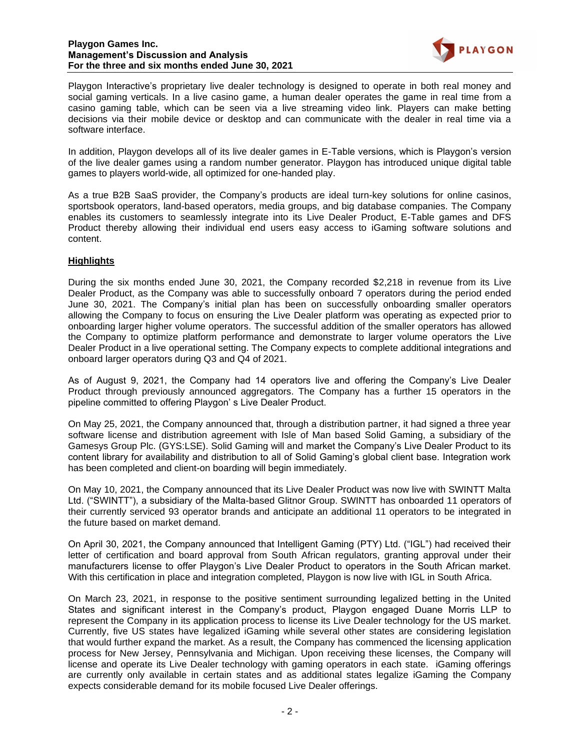

Playgon Interactive's proprietary live dealer technology is designed to operate in both real money and social gaming verticals. In a live casino game, a human dealer operates the game in real time from a casino gaming table, which can be seen via a live streaming video link. Players can make betting decisions via their mobile device or desktop and can communicate with the dealer in real time via a software interface.

In addition, Playgon develops all of its live dealer games in E-Table versions, which is Playgon's version of the live dealer games using a random number generator. Playgon has introduced unique digital table games to players world-wide, all optimized for one-handed play.

As a true B2B SaaS provider, the Company's products are ideal turn-key solutions for online casinos, sportsbook operators, land-based operators, media groups, and big database companies. The Company enables its customers to seamlessly integrate into its Live Dealer Product, E-Table games and DFS Product thereby allowing their individual end users easy access to iGaming software solutions and content.

# **Highlights**

During the six months ended June 30, 2021, the Company recorded \$2,218 in revenue from its Live Dealer Product, as the Company was able to successfully onboard 7 operators during the period ended June 30, 2021. The Company's initial plan has been on successfully onboarding smaller operators allowing the Company to focus on ensuring the Live Dealer platform was operating as expected prior to onboarding larger higher volume operators. The successful addition of the smaller operators has allowed the Company to optimize platform performance and demonstrate to larger volume operators the Live Dealer Product in a live operational setting. The Company expects to complete additional integrations and onboard larger operators during Q3 and Q4 of 2021.

As of August 9, 2021, the Company had 14 operators live and offering the Company's Live Dealer Product through previously announced aggregators. The Company has a further 15 operators in the pipeline committed to offering Playgon' s Live Dealer Product.

On May 25, 2021, the Company announced that, through a distribution partner, it had signed a three year software license and distribution agreement with Isle of Man based Solid Gaming, a subsidiary of the Gamesys Group Plc. (GYS:LSE). Solid Gaming will and market the Company's Live Dealer Product to its content library for availability and distribution to all of Solid Gaming's global client base. Integration work has been completed and client-on boarding will begin immediately.

On May 10, 2021, the Company announced that its Live Dealer Product was now live with SWINTT Malta Ltd. ("SWINTT"), a subsidiary of the Malta-based Glitnor Group. SWINTT has onboarded 11 operators of their currently serviced 93 operator brands and anticipate an additional 11 operators to be integrated in the future based on market demand.

On April 30, 2021, the Company announced that Intelligent Gaming (PTY) Ltd. ("IGL") had received their letter of certification and board approval from South African regulators, granting approval under their manufacturers license to offer Playgon's Live Dealer Product to operators in the South African market. With this certification in place and integration completed, Playgon is now live with IGL in South Africa.

On March 23, 2021, in response to the positive sentiment surrounding legalized betting in the United States and significant interest in the Company's product, Playgon engaged Duane Morris LLP to represent the Company in its application process to license its Live Dealer technology for the US market. Currently, five US states have legalized iGaming while several other states are considering legislation that would further expand the market. As a result, the Company has commenced the licensing application process for New Jersey, Pennsylvania and Michigan. Upon receiving these licenses, the Company will license and operate its Live Dealer technology with gaming operators in each state. iGaming offerings are currently only available in certain states and as additional states legalize iGaming the Company expects considerable demand for its mobile focused Live Dealer offerings.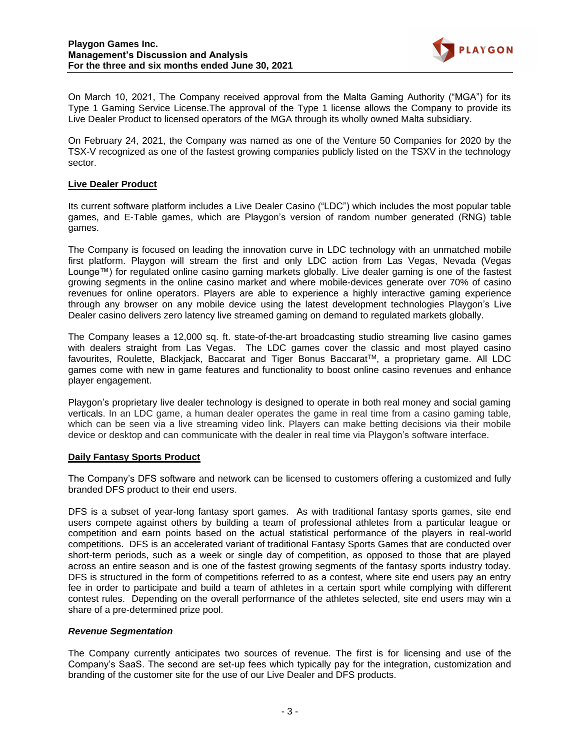

On March 10, 2021, The Company received approval from the Malta Gaming Authority ("MGA") for its Type 1 Gaming Service License.The approval of the Type 1 license allows the Company to provide its Live Dealer Product to licensed operators of the MGA through its wholly owned Malta subsidiary.

On February 24, 2021, the Company was named as one of the Venture 50 Companies for 2020 by the TSX-V recognized as one of the fastest growing companies publicly listed on the TSXV in the technology sector.

### **Live Dealer Product**

Its current software platform includes a Live Dealer Casino ("LDC") which includes the most popular table games, and E-Table games, which are Playgon's version of random number generated (RNG) table games.

The Company is focused on leading the innovation curve in LDC technology with an unmatched mobile first platform. Playgon will stream the first and only LDC action from Las Vegas, Nevada (Vegas Lounge™) for regulated online casino gaming markets globally. Live dealer gaming is one of the fastest growing segments in the online casino market and where mobile-devices generate over 70% of casino revenues for online operators. Players are able to experience a highly interactive gaming experience through any browser on any mobile device using the latest development technologies Playgon's Live Dealer casino delivers zero latency live streamed gaming on demand to regulated markets globally.

The Company leases a 12,000 sq. ft. state-of-the-art broadcasting studio streaming live casino games with dealers straight from Las Vegas. The LDC games cover the classic and most played casino favourites, Roulette, Blackjack, Baccarat and Tiger Bonus Baccarat™, a proprietary game. All LDC games come with new in game features and functionality to boost online casino revenues and enhance player engagement.

Playgon's proprietary live dealer technology is designed to operate in both real money and social gaming verticals. In an LDC game, a human dealer operates the game in real time from a casino gaming table, which can be seen via a live streaming video link. Players can make betting decisions via their mobile device or desktop and can communicate with the dealer in real time via Playgon's software interface.

### **Daily Fantasy Sports Product**

The Company's DFS software and network can be licensed to customers offering a customized and fully branded DFS product to their end users.

DFS is a subset of year-long fantasy sport games. As with traditional fantasy sports games, site end users compete against others by building a team of professional athletes from a particular league or competition and earn points based on the actual statistical performance of the players in real-world competitions. DFS is an accelerated variant of traditional Fantasy Sports Games that are conducted over short-term periods, such as a week or single day of competition, as opposed to those that are played across an entire season and is one of the fastest growing segments of the fantasy sports industry today. DFS is structured in the form of competitions referred to as a contest, where site end users pay an entry fee in order to participate and build a team of athletes in a certain sport while complying with different contest rules. Depending on the overall performance of the athletes selected, site end users may win a share of a pre-determined prize pool.

### *Revenue Segmentation*

The Company currently anticipates two sources of revenue. The first is for licensing and use of the Company's SaaS. The second are set-up fees which typically pay for the integration, customization and branding of the customer site for the use of our Live Dealer and DFS products.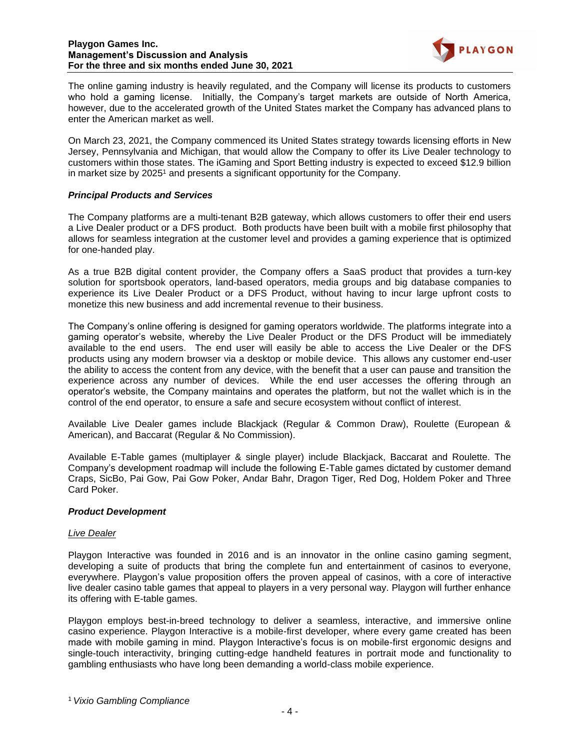

The online gaming industry is heavily regulated, and the Company will license its products to customers who hold a gaming license. Initially, the Company's target markets are outside of North America, however, due to the accelerated growth of the United States market the Company has advanced plans to enter the American market as well.

On March 23, 2021, the Company commenced its United States strategy towards licensing efforts in New Jersey, Pennsylvania and Michigan, that would allow the Company to offer its Live Dealer technology to customers within those states. The iGaming and Sport Betting industry is expected to exceed \$12.9 billion in market size by 2025<sup>1</sup> and presents a significant opportunity for the Company.

### *Principal Products and Services*

The Company platforms are a multi-tenant B2B gateway, which allows customers to offer their end users a Live Dealer product or a DFS product. Both products have been built with a mobile first philosophy that allows for seamless integration at the customer level and provides a gaming experience that is optimized for one-handed play.

As a true B2B digital content provider, the Company offers a SaaS product that provides a turn-key solution for sportsbook operators, land-based operators, media groups and big database companies to experience its Live Dealer Product or a DFS Product, without having to incur large upfront costs to monetize this new business and add incremental revenue to their business.

The Company's online offering is designed for gaming operators worldwide. The platforms integrate into a gaming operator's website, whereby the Live Dealer Product or the DFS Product will be immediately available to the end users. The end user will easily be able to access the Live Dealer or the DFS products using any modern browser via a desktop or mobile device. This allows any customer end-user the ability to access the content from any device, with the benefit that a user can pause and transition the experience across any number of devices. While the end user accesses the offering through an operator's website, the Company maintains and operates the platform, but not the wallet which is in the control of the end operator, to ensure a safe and secure ecosystem without conflict of interest.

Available Live Dealer games include Blackjack (Regular & Common Draw), Roulette (European & American), and Baccarat (Regular & No Commission).

Available E-Table games (multiplayer & single player) include Blackjack, Baccarat and Roulette. The Company's development roadmap will include the following E-Table games dictated by customer demand Craps, SicBo, Pai Gow, Pai Gow Poker, Andar Bahr, Dragon Tiger, Red Dog, Holdem Poker and Three Card Poker.

### *Product Development*

### *Live Dealer*

Playgon Interactive was founded in 2016 and is an innovator in the online casino gaming segment, developing a suite of products that bring the complete fun and entertainment of casinos to everyone, everywhere. Playgon's value proposition offers the proven appeal of casinos, with a core of interactive live dealer casino table games that appeal to players in a very personal way. Playgon will further enhance its offering with E-table games.

Playgon employs best-in-breed technology to deliver a seamless, interactive, and immersive online casino experience. Playgon Interactive is a mobile-first developer, where every game created has been made with mobile gaming in mind. Playgon Interactive's focus is on mobile-first ergonomic designs and single-touch interactivity, bringing cutting-edge handheld features in portrait mode and functionality to gambling enthusiasts who have long been demanding a world-class mobile experience.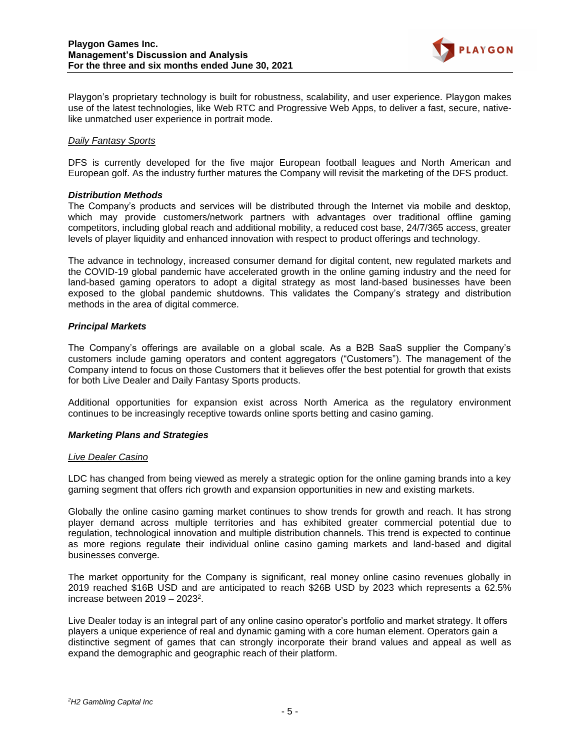

Playgon's proprietary technology is built for robustness, scalability, and user experience. Playgon makes use of the latest technologies, like Web RTC and Progressive Web Apps, to deliver a fast, secure, nativelike unmatched user experience in portrait mode.

### *Daily Fantasy Sports*

DFS is currently developed for the five major European football leagues and North American and European golf. As the industry further matures the Company will revisit the marketing of the DFS product.

#### *Distribution Methods*

The Company's products and services will be distributed through the Internet via mobile and desktop, which may provide customers/network partners with advantages over traditional offline gaming competitors, including global reach and additional mobility, a reduced cost base, 24/7/365 access, greater levels of player liquidity and enhanced innovation with respect to product offerings and technology.

The advance in technology, increased consumer demand for digital content, new regulated markets and the COVID-19 global pandemic have accelerated growth in the online gaming industry and the need for land-based gaming operators to adopt a digital strategy as most land-based businesses have been exposed to the global pandemic shutdowns. This validates the Company's strategy and distribution methods in the area of digital commerce.

#### *Principal Markets*

The Company's offerings are available on a global scale. As a B2B SaaS supplier the Company's customers include gaming operators and content aggregators ("Customers"). The management of the Company intend to focus on those Customers that it believes offer the best potential for growth that exists for both Live Dealer and Daily Fantasy Sports products.

Additional opportunities for expansion exist across North America as the regulatory environment continues to be increasingly receptive towards online sports betting and casino gaming.

#### *Marketing Plans and Strategies*

#### *Live Dealer Casino*

LDC has changed from being viewed as merely a strategic option for the online gaming brands into a key gaming segment that offers rich growth and expansion opportunities in new and existing markets.

Globally the online casino gaming market continues to show trends for growth and reach. It has strong player demand across multiple territories and has exhibited greater commercial potential due to regulation, technological innovation and multiple distribution channels. This trend is expected to continue as more regions regulate their individual online casino gaming markets and land-based and digital businesses converge.

The market opportunity for the Company is significant, real money online casino revenues globally in 2019 reached \$16B USD and are anticipated to reach \$26B USD by 2023 which represents a 62.5% increase between 2019 – 2023<sup>2</sup>.

Live Dealer today is an integral part of any online casino operator's portfolio and market strategy. It offers players a unique experience of real and dynamic gaming with a core human element. Operators gain a distinctive segment of games that can strongly incorporate their brand values and appeal as well as expand the demographic and geographic reach of their platform.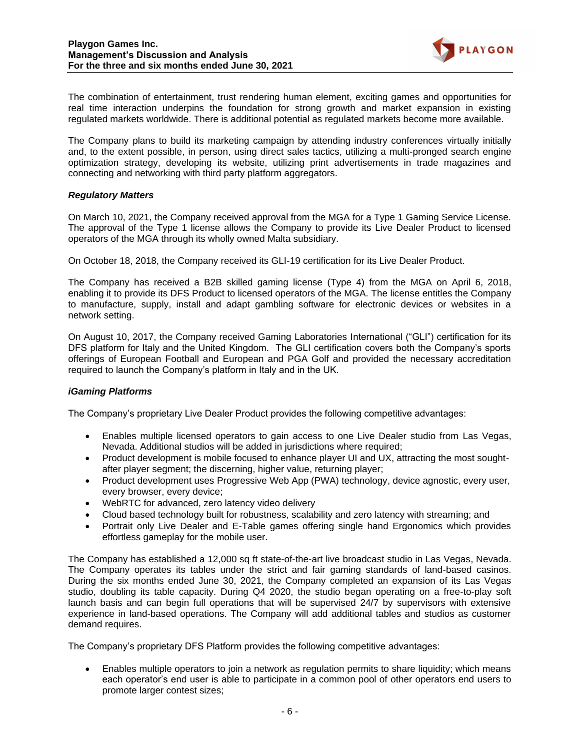

The combination of entertainment, trust rendering human element, exciting games and opportunities for real time interaction underpins the foundation for strong growth and market expansion in existing regulated markets worldwide. There is additional potential as regulated markets become more available.

The Company plans to build its marketing campaign by attending industry conferences virtually initially and, to the extent possible, in person, using direct sales tactics, utilizing a multi-pronged search engine optimization strategy, developing its website, utilizing print advertisements in trade magazines and connecting and networking with third party platform aggregators.

# *Regulatory Matters*

On March 10, 2021, the Company received approval from the MGA for a Type 1 Gaming Service License. The approval of the Type 1 license allows the Company to provide its Live Dealer Product to licensed operators of the MGA through its wholly owned Malta subsidiary.

On October 18, 2018, the Company received its GLI-19 certification for its Live Dealer Product.

The Company has received a B2B skilled gaming license (Type 4) from the MGA on April 6, 2018, enabling it to provide its DFS Product to licensed operators of the MGA. The license entitles the Company to manufacture, supply, install and adapt gambling software for electronic devices or websites in a network setting.

On August 10, 2017, the Company received Gaming Laboratories International ("GLI") certification for its DFS platform for Italy and the United Kingdom. The GLI certification covers both the Company's sports offerings of European Football and European and PGA Golf and provided the necessary accreditation required to launch the Company's platform in Italy and in the UK.

# *iGaming Platforms*

The Company's proprietary Live Dealer Product provides the following competitive advantages:

- Enables multiple licensed operators to gain access to one Live Dealer studio from Las Vegas, Nevada. Additional studios will be added in jurisdictions where required;
- Product development is mobile focused to enhance player UI and UX, attracting the most soughtafter player segment; the discerning, higher value, returning player;
- Product development uses Progressive Web App (PWA) technology, device agnostic, every user, every browser, every device;
- WebRTC for advanced, zero latency video delivery
- Cloud based technology built for robustness, scalability and zero latency with streaming; and
- Portrait only Live Dealer and E-Table games offering single hand Ergonomics which provides effortless gameplay for the mobile user.

The Company has established a 12,000 sq ft state-of-the-art live broadcast studio in Las Vegas, Nevada. The Company operates its tables under the strict and fair gaming standards of land-based casinos. During the six months ended June 30, 2021, the Company completed an expansion of its Las Vegas studio, doubling its table capacity. During Q4 2020, the studio began operating on a free-to-play soft launch basis and can begin full operations that will be supervised 24/7 by supervisors with extensive experience in land-based operations. The Company will add additional tables and studios as customer demand requires.

The Company's proprietary DFS Platform provides the following competitive advantages:

• Enables multiple operators to join a network as regulation permits to share liquidity; which means each operator's end user is able to participate in a common pool of other operators end users to promote larger contest sizes;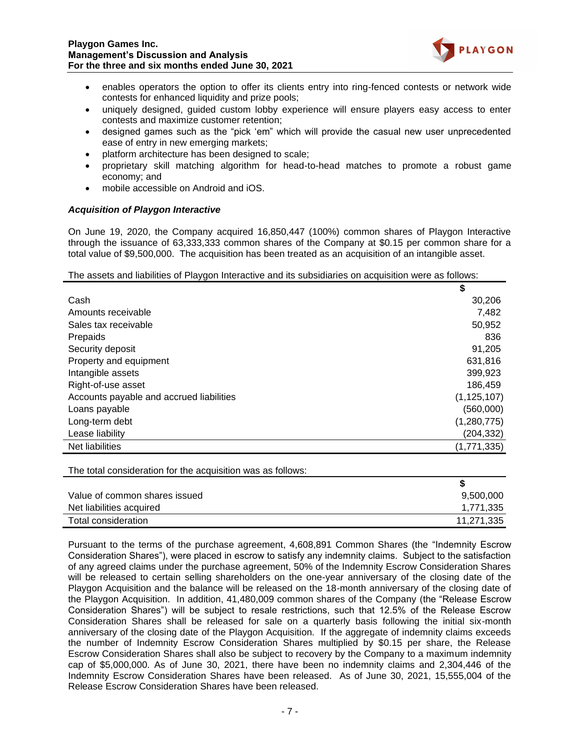

- enables operators the option to offer its clients entry into ring-fenced contests or network wide contests for enhanced liquidity and prize pools;
- uniquely designed, guided custom lobby experience will ensure players easy access to enter contests and maximize customer retention;
- designed games such as the "pick 'em" which will provide the casual new user unprecedented ease of entry in new emerging markets;
- platform architecture has been designed to scale;
- proprietary skill matching algorithm for head-to-head matches to promote a robust game economy; and
- mobile accessible on Android and iOS.

# *Acquisition of Playgon Interactive*

On June 19, 2020, the Company acquired 16,850,447 (100%) common shares of Playgon Interactive through the issuance of 63,333,333 common shares of the Company at \$0.15 per common share for a total value of \$9,500,000. The acquisition has been treated as an acquisition of an intangible asset.

### The assets and liabilities of Playgon Interactive and its subsidiaries on acquisition were as follows:

|                                          | \$            |
|------------------------------------------|---------------|
| Cash                                     | 30,206        |
| Amounts receivable                       | 7,482         |
| Sales tax receivable                     | 50,952        |
| Prepaids                                 | 836           |
| Security deposit                         | 91,205        |
| Property and equipment                   | 631,816       |
| Intangible assets                        | 399,923       |
| Right-of-use asset                       | 186,459       |
| Accounts payable and accrued liabilities | (1, 125, 107) |
| Loans payable                            | (560,000)     |
| Long-term debt                           | (1,280,775)   |
| Lease liability                          | (204, 332)    |
| Net liabilities                          | (1,771,335)   |

The total consideration for the acquisition was as follows:

| Value of common shares issued | 9,500,000  |
|-------------------------------|------------|
| Net liabilities acquired      | 1,771,335  |
| Total consideration           | 11,271,335 |

Pursuant to the terms of the purchase agreement, 4,608,891 Common Shares (the "Indemnity Escrow Consideration Shares"), were placed in escrow to satisfy any indemnity claims. Subject to the satisfaction of any agreed claims under the purchase agreement, 50% of the Indemnity Escrow Consideration Shares will be released to certain selling shareholders on the one-year anniversary of the closing date of the Playgon Acquisition and the balance will be released on the 18-month anniversary of the closing date of the Playgon Acquisition. In addition, 41,480,009 common shares of the Company (the "Release Escrow Consideration Shares") will be subject to resale restrictions, such that 12.5% of the Release Escrow Consideration Shares shall be released for sale on a quarterly basis following the initial six-month anniversary of the closing date of the Playgon Acquisition. If the aggregate of indemnity claims exceeds the number of Indemnity Escrow Consideration Shares multiplied by \$0.15 per share, the Release Escrow Consideration Shares shall also be subject to recovery by the Company to a maximum indemnity cap of \$5,000,000. As of June 30, 2021, there have been no indemnity claims and 2,304,446 of the Indemnity Escrow Consideration Shares have been released. As of June 30, 2021, 15,555,004 of the Release Escrow Consideration Shares have been released.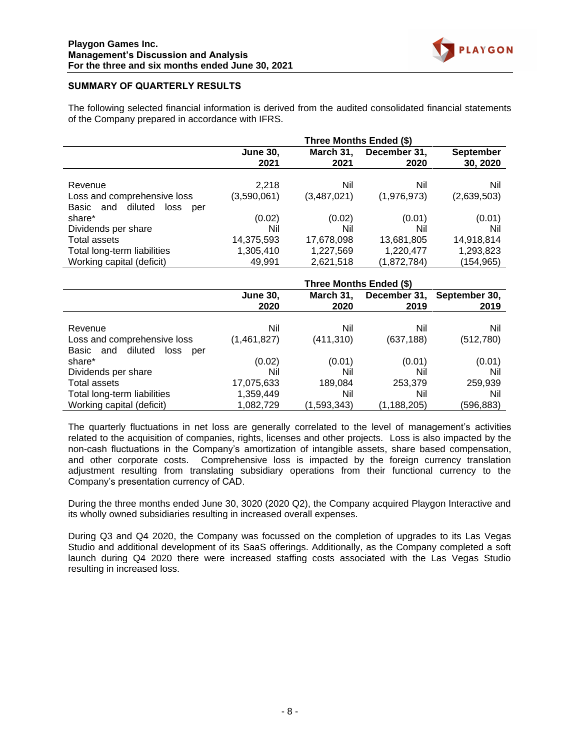

# **SUMMARY OF QUARTERLY RESULTS**

The following selected financial information is derived from the audited consolidated financial statements of the Company prepared in accordance with IFRS.

|                                     | Three Months Ended (\$) |                   |                      |                              |
|-------------------------------------|-------------------------|-------------------|----------------------|------------------------------|
|                                     | <b>June 30,</b><br>2021 | March 31,<br>2021 | December 31,<br>2020 | <b>September</b><br>30, 2020 |
| Revenue                             | 2,218                   | Nil               | Nil                  | Nil                          |
| Loss and comprehensive loss         | (3,590,061)             | (3,487,021)       | (1,976,973)          | (2,639,503)                  |
| diluted<br>Basic and<br>loss<br>per |                         |                   |                      |                              |
| share*                              | (0.02)                  | (0.02)            | (0.01)               | (0.01)                       |
| Dividends per share                 | Nil                     | Nil               | Nil                  | Nil                          |
| Total assets                        | 14,375,593              | 17,678,098        | 13,681,805           | 14,918,814                   |
| Total long-term liabilities         | 1,305,410               | 1,227,569         | 1,220,477            | 1,293,823                    |
| Working capital (deficit)           | 49.991                  | 2,621,518         | (1,872,784)          | (154,965)                    |

|                                                                    | Three Months Ended (\$) |                   |                      |                       |
|--------------------------------------------------------------------|-------------------------|-------------------|----------------------|-----------------------|
|                                                                    | <b>June 30,</b><br>2020 | March 31,<br>2020 | December 31,<br>2019 | September 30,<br>2019 |
| Revenue                                                            | Nil                     | Nil               | Nil                  | Nil                   |
| Loss and comprehensive loss<br>and diluted<br>Basic<br>loss<br>per | (1,461,827)             | (411, 310)        | (637, 188)           | (512, 780)            |
| share*                                                             | (0.02)                  | (0.01)            | (0.01)               | (0.01)                |
| Dividends per share                                                | Nil                     | Nil               | Nil                  | Nil                   |
| Total assets                                                       | 17,075,633              | 189,084           | 253,379              | 259,939               |
| Total long-term liabilities                                        | 1,359,449               | Nil               | Nil                  | Nil                   |
| Working capital (deficit)                                          | 1,082,729               | (1,593,343)       | (1, 188, 205)        | (596,883)             |

The quarterly fluctuations in net loss are generally correlated to the level of management's activities related to the acquisition of companies, rights, licenses and other projects. Loss is also impacted by the non-cash fluctuations in the Company's amortization of intangible assets, share based compensation, and other corporate costs. Comprehensive loss is impacted by the foreign currency translation adjustment resulting from translating subsidiary operations from their functional currency to the Company's presentation currency of CAD.

During the three months ended June 30, 3020 (2020 Q2), the Company acquired Playgon Interactive and its wholly owned subsidiaries resulting in increased overall expenses.

During Q3 and Q4 2020, the Company was focussed on the completion of upgrades to its Las Vegas Studio and additional development of its SaaS offerings. Additionally, as the Company completed a soft launch during Q4 2020 there were increased staffing costs associated with the Las Vegas Studio resulting in increased loss.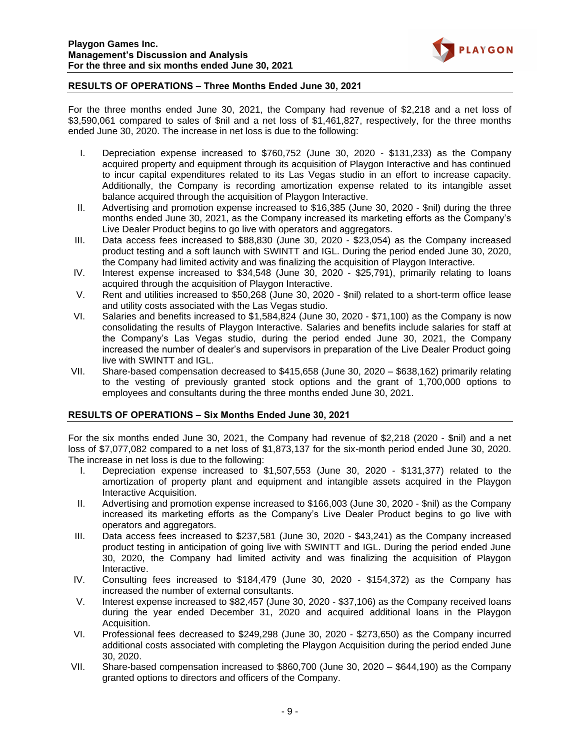

# **RESULTS OF OPERATIONS – Three Months Ended June 30, 2021**

For the three months ended June 30, 2021, the Company had revenue of \$2,218 and a net loss of \$3,590,061 compared to sales of \$nil and a net loss of \$1,461,827, respectively, for the three months ended June 30, 2020. The increase in net loss is due to the following:

- I. Depreciation expense increased to \$760,752 (June 30, 2020 \$131,233) as the Company acquired property and equipment through its acquisition of Playgon Interactive and has continued to incur capital expenditures related to its Las Vegas studio in an effort to increase capacity. Additionally, the Company is recording amortization expense related to its intangible asset balance acquired through the acquisition of Playgon Interactive.
- II. Advertising and promotion expense increased to \$16,385 (June 30, 2020 \$nil) during the three months ended June 30, 2021, as the Company increased its marketing efforts as the Company's Live Dealer Product begins to go live with operators and aggregators.
- III. Data access fees increased to \$88,830 (June 30, 2020 \$23,054) as the Company increased product testing and a soft launch with SWINTT and IGL. During the period ended June 30, 2020, the Company had limited activity and was finalizing the acquisition of Playgon Interactive.
- IV. Interest expense increased to \$34,548 (June 30, 2020 \$25,791), primarily relating to loans acquired through the acquisition of Playgon Interactive.
- V. Rent and utilities increased to \$50,268 (June 30, 2020 \$nil) related to a short-term office lease and utility costs associated with the Las Vegas studio.
- VI. Salaries and benefits increased to \$1,584,824 (June 30, 2020 \$71,100) as the Company is now consolidating the results of Playgon Interactive. Salaries and benefits include salaries for staff at the Company's Las Vegas studio, during the period ended June 30, 2021, the Company increased the number of dealer's and supervisors in preparation of the Live Dealer Product going live with SWINTT and IGL.
- VII. Share-based compensation decreased to \$415,658 (June 30, 2020 \$638,162) primarily relating to the vesting of previously granted stock options and the grant of 1,700,000 options to employees and consultants during the three months ended June 30, 2021.

### **RESULTS OF OPERATIONS – Six Months Ended June 30, 2021**

For the six months ended June 30, 2021, the Company had revenue of \$2,218 (2020 - \$nil) and a net loss of \$7,077,082 compared to a net loss of \$1,873,137 for the six-month period ended June 30, 2020. The increase in net loss is due to the following:

- I. Depreciation expense increased to \$1,507,553 (June 30, 2020 \$131,377) related to the amortization of property plant and equipment and intangible assets acquired in the Playgon Interactive Acquisition.
- II. Advertising and promotion expense increased to \$166,003 (June 30, 2020 \$nil) as the Company increased its marketing efforts as the Company's Live Dealer Product begins to go live with operators and aggregators.
- III. Data access fees increased to \$237,581 (June 30, 2020 \$43,241) as the Company increased product testing in anticipation of going live with SWINTT and IGL. During the period ended June 30, 2020, the Company had limited activity and was finalizing the acquisition of Playgon Interactive.
- IV. Consulting fees increased to \$184,479 (June 30, 2020 \$154,372) as the Company has increased the number of external consultants.
- V. Interest expense increased to \$82,457 (June 30, 2020 \$37,106) as the Company received loans during the year ended December 31, 2020 and acquired additional loans in the Playgon Acquisition.
- VI. Professional fees decreased to \$249,298 (June 30, 2020 \$273,650) as the Company incurred additional costs associated with completing the Playgon Acquisition during the period ended June 30, 2020.
- VII. Share-based compensation increased to \$860,700 (June 30, 2020 \$644,190) as the Company granted options to directors and officers of the Company.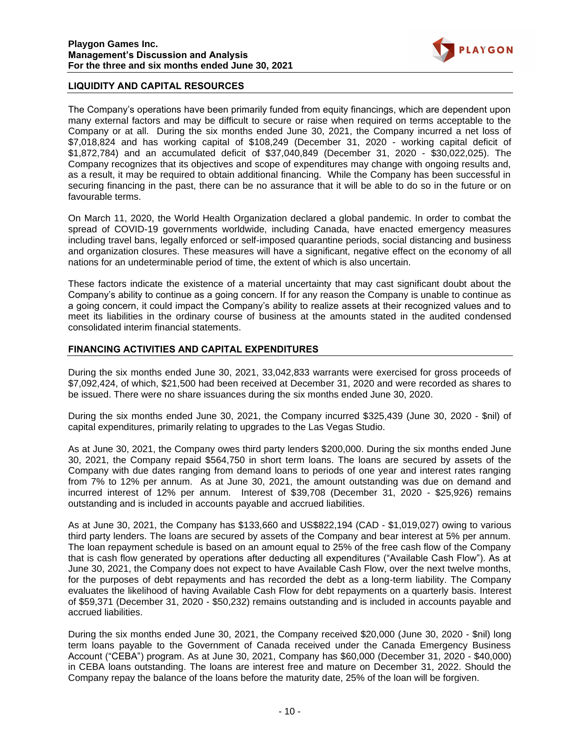

# **LIQUIDITY AND CAPITAL RESOURCES**

The Company's operations have been primarily funded from equity financings, which are dependent upon many external factors and may be difficult to secure or raise when required on terms acceptable to the Company or at all. During the six months ended June 30, 2021, the Company incurred a net loss of \$7,018,824 and has working capital of \$108,249 (December 31, 2020 - working capital deficit of \$1,872,784) and an accumulated deficit of \$37,040,849 (December 31, 2020 - \$30,022,025). The Company recognizes that its objectives and scope of expenditures may change with ongoing results and, as a result, it may be required to obtain additional financing. While the Company has been successful in securing financing in the past, there can be no assurance that it will be able to do so in the future or on favourable terms.

On March 11, 2020, the World Health Organization declared a global pandemic. In order to combat the spread of COVID-19 governments worldwide, including Canada, have enacted emergency measures including travel bans, legally enforced or self-imposed quarantine periods, social distancing and business and organization closures. These measures will have a significant, negative effect on the economy of all nations for an undeterminable period of time, the extent of which is also uncertain.

These factors indicate the existence of a material uncertainty that may cast significant doubt about the Company's ability to continue as a going concern. If for any reason the Company is unable to continue as a going concern, it could impact the Company's ability to realize assets at their recognized values and to meet its liabilities in the ordinary course of business at the amounts stated in the audited condensed consolidated interim financial statements.

# **FINANCING ACTIVITIES AND CAPITAL EXPENDITURES**

During the six months ended June 30, 2021, 33,042,833 warrants were exercised for gross proceeds of \$7,092,424, of which, \$21,500 had been received at December 31, 2020 and were recorded as shares to be issued. There were no share issuances during the six months ended June 30, 2020.

During the six months ended June 30, 2021, the Company incurred \$325,439 (June 30, 2020 - \$nil) of capital expenditures, primarily relating to upgrades to the Las Vegas Studio.

As at June 30, 2021, the Company owes third party lenders \$200,000. During the six months ended June 30, 2021, the Company repaid \$564,750 in short term loans. The loans are secured by assets of the Company with due dates ranging from demand loans to periods of one year and interest rates ranging from 7% to 12% per annum. As at June 30, 2021, the amount outstanding was due on demand and incurred interest of 12% per annum. Interest of \$39,708 (December 31, 2020 - \$25,926) remains outstanding and is included in accounts payable and accrued liabilities.

As at June 30, 2021, the Company has \$133,660 and US\$822,194 (CAD - \$1,019,027) owing to various third party lenders. The loans are secured by assets of the Company and bear interest at 5% per annum. The loan repayment schedule is based on an amount equal to 25% of the free cash flow of the Company that is cash flow generated by operations after deducting all expenditures ("Available Cash Flow"). As at June 30, 2021, the Company does not expect to have Available Cash Flow, over the next twelve months, for the purposes of debt repayments and has recorded the debt as a long-term liability. The Company evaluates the likelihood of having Available Cash Flow for debt repayments on a quarterly basis. Interest of \$59,371 (December 31, 2020 - \$50,232) remains outstanding and is included in accounts payable and accrued liabilities.

During the six months ended June 30, 2021, the Company received \$20,000 (June 30, 2020 - \$nil) long term loans payable to the Government of Canada received under the Canada Emergency Business Account ("CEBA") program. As at June 30, 2021, Company has \$60,000 (December 31, 2020 - \$40,000) in CEBA loans outstanding. The loans are interest free and mature on December 31, 2022. Should the Company repay the balance of the loans before the maturity date, 25% of the loan will be forgiven.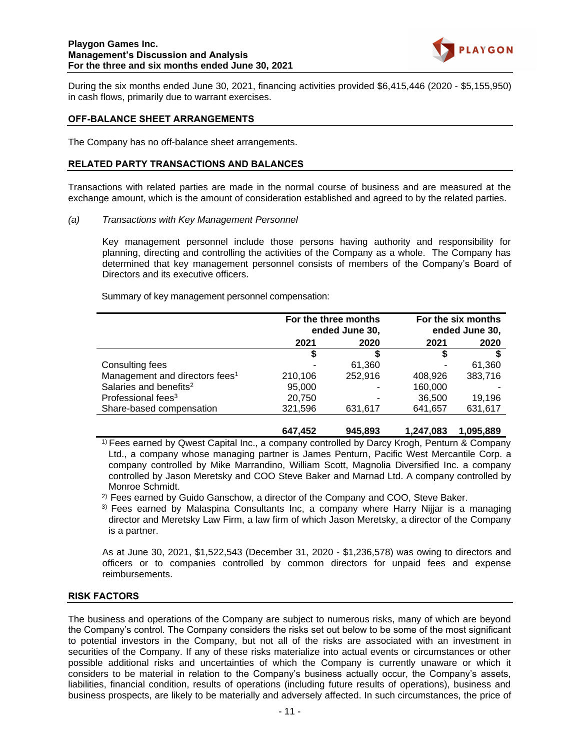

During the six months ended June 30, 2021, financing activities provided \$6,415,446 (2020 - \$5,155,950) in cash flows, primarily due to warrant exercises.

#### **OFF-BALANCE SHEET ARRANGEMENTS**

The Company has no off-balance sheet arrangements.

### **RELATED PARTY TRANSACTIONS AND BALANCES**

Transactions with related parties are made in the normal course of business and are measured at the exchange amount, which is the amount of consideration established and agreed to by the related parties.

*(a) Transactions with Key Management Personnel*

Key management personnel include those persons having authority and responsibility for planning, directing and controlling the activities of the Company as a whole. The Company has determined that key management personnel consists of members of the Company's Board of Directors and its executive officers.

Summary of key management personnel compensation:

|                                            | For the three months<br>ended June 30, |         | For the six months<br>ended June 30, |         |
|--------------------------------------------|----------------------------------------|---------|--------------------------------------|---------|
|                                            | 2020<br>2021                           |         | 2021                                 | 2020    |
|                                            |                                        |         |                                      |         |
| Consulting fees                            |                                        | 61,360  |                                      | 61,360  |
| Management and directors fees <sup>1</sup> | 210,106                                | 252,916 | 408,926                              | 383,716 |
| Salaries and benefits <sup>2</sup>         | 95,000                                 |         | 160,000                              |         |
| Professional fees <sup>3</sup>             | 20,750                                 |         | 36,500                               | 19.196  |
| Share-based compensation                   | 321,596                                | 631,617 | 641,657                              | 631,617 |
|                                            |                                        |         |                                      |         |

<sup>1)</sup> Fees earned by Qwest Capital Inc., a company controlled by Darcy Krogh, Penturn & Company Ltd., a company whose managing partner is James Penturn, Pacific West Mercantile Corp. a company controlled by Mike Marrandino, William Scott, Magnolia Diversified Inc. a company controlled by Jason Meretsky and COO Steve Baker and Marnad Ltd. A company controlled by Monroe Schmidt.

**647,452 945,893 1,247,083 1,095,889**

 $2)$  Fees earned by Guido Ganschow, a director of the Company and COO, Steve Baker.

3) Fees earned by Malaspina Consultants Inc, a company where Harry Nijjar is a managing director and Meretsky Law Firm, a law firm of which Jason Meretsky, a director of the Company is a partner.

As at June 30, 2021, \$1,522,543 (December 31, 2020 - \$1,236,578) was owing to directors and officers or to companies controlled by common directors for unpaid fees and expense reimbursements.

### **RISK FACTORS**

The business and operations of the Company are subject to numerous risks, many of which are beyond the Company's control. The Company considers the risks set out below to be some of the most significant to potential investors in the Company, but not all of the risks are associated with an investment in securities of the Company. If any of these risks materialize into actual events or circumstances or other possible additional risks and uncertainties of which the Company is currently unaware or which it considers to be material in relation to the Company's business actually occur, the Company's assets, liabilities, financial condition, results of operations (including future results of operations), business and business prospects, are likely to be materially and adversely affected. In such circumstances, the price of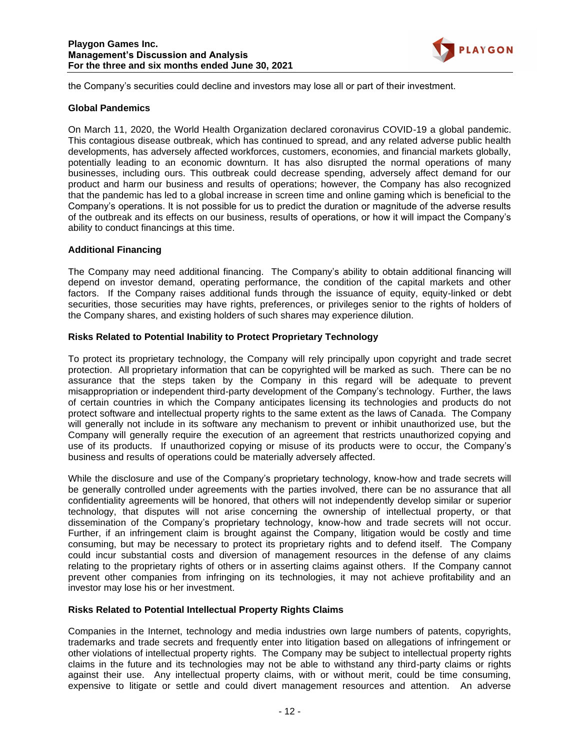

the Company's securities could decline and investors may lose all or part of their investment.

### **Global Pandemics**

On March 11, 2020, the World Health Organization declared coronavirus COVID-19 a global pandemic. This contagious disease outbreak, which has continued to spread, and any related adverse public health developments, has adversely affected workforces, customers, economies, and financial markets globally, potentially leading to an economic downturn. It has also disrupted the normal operations of many businesses, including ours. This outbreak could decrease spending, adversely affect demand for our product and harm our business and results of operations; however, the Company has also recognized that the pandemic has led to a global increase in screen time and online gaming which is beneficial to the Company's operations. It is not possible for us to predict the duration or magnitude of the adverse results of the outbreak and its effects on our business, results of operations, or how it will impact the Company's ability to conduct financings at this time.

# **Additional Financing**

The Company may need additional financing. The Company's ability to obtain additional financing will depend on investor demand, operating performance, the condition of the capital markets and other factors. If the Company raises additional funds through the issuance of equity, equity-linked or debt securities, those securities may have rights, preferences, or privileges senior to the rights of holders of the Company shares, and existing holders of such shares may experience dilution.

# **Risks Related to Potential Inability to Protect Proprietary Technology**

To protect its proprietary technology, the Company will rely principally upon copyright and trade secret protection. All proprietary information that can be copyrighted will be marked as such. There can be no assurance that the steps taken by the Company in this regard will be adequate to prevent misappropriation or independent third-party development of the Company's technology. Further, the laws of certain countries in which the Company anticipates licensing its technologies and products do not protect software and intellectual property rights to the same extent as the laws of Canada. The Company will generally not include in its software any mechanism to prevent or inhibit unauthorized use, but the Company will generally require the execution of an agreement that restricts unauthorized copying and use of its products. If unauthorized copying or misuse of its products were to occur, the Company's business and results of operations could be materially adversely affected.

While the disclosure and use of the Company's proprietary technology, know-how and trade secrets will be generally controlled under agreements with the parties involved, there can be no assurance that all confidentiality agreements will be honored, that others will not independently develop similar or superior technology, that disputes will not arise concerning the ownership of intellectual property, or that dissemination of the Company's proprietary technology, know-how and trade secrets will not occur. Further, if an infringement claim is brought against the Company, litigation would be costly and time consuming, but may be necessary to protect its proprietary rights and to defend itself. The Company could incur substantial costs and diversion of management resources in the defense of any claims relating to the proprietary rights of others or in asserting claims against others. If the Company cannot prevent other companies from infringing on its technologies, it may not achieve profitability and an investor may lose his or her investment.

# **Risks Related to Potential Intellectual Property Rights Claims**

Companies in the Internet, technology and media industries own large numbers of patents, copyrights, trademarks and trade secrets and frequently enter into litigation based on allegations of infringement or other violations of intellectual property rights. The Company may be subject to intellectual property rights claims in the future and its technologies may not be able to withstand any third-party claims or rights against their use. Any intellectual property claims, with or without merit, could be time consuming, expensive to litigate or settle and could divert management resources and attention. An adverse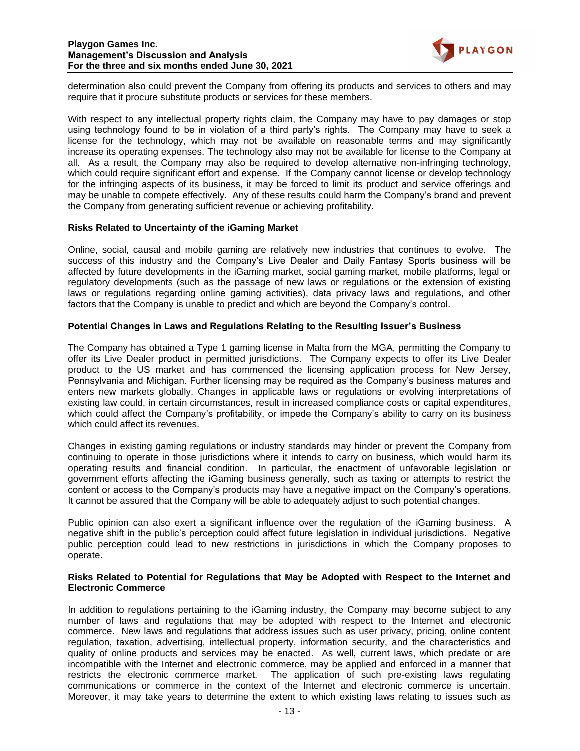

determination also could prevent the Company from offering its products and services to others and may require that it procure substitute products or services for these members.

With respect to any intellectual property rights claim, the Company may have to pay damages or stop using technology found to be in violation of a third party's rights. The Company may have to seek a license for the technology, which may not be available on reasonable terms and may significantly increase its operating expenses. The technology also may not be available for license to the Company at all. As a result, the Company may also be required to develop alternative non-infringing technology, which could require significant effort and expense. If the Company cannot license or develop technology for the infringing aspects of its business, it may be forced to limit its product and service offerings and may be unable to compete effectively. Any of these results could harm the Company's brand and prevent the Company from generating sufficient revenue or achieving profitability.

### **Risks Related to Uncertainty of the iGaming Market**

Online, social, causal and mobile gaming are relatively new industries that continues to evolve. The success of this industry and the Company's Live Dealer and Daily Fantasy Sports business will be affected by future developments in the iGaming market, social gaming market, mobile platforms, legal or regulatory developments (such as the passage of new laws or regulations or the extension of existing laws or regulations regarding online gaming activities), data privacy laws and regulations, and other factors that the Company is unable to predict and which are beyond the Company's control.

### **Potential Changes in Laws and Regulations Relating to the Resulting Issuer's Business**

The Company has obtained a Type 1 gaming license in Malta from the MGA, permitting the Company to offer its Live Dealer product in permitted jurisdictions. The Company expects to offer its Live Dealer product to the US market and has commenced the licensing application process for New Jersey, Pennsylvania and Michigan. Further licensing may be required as the Company's business matures and enters new markets globally. Changes in applicable laws or regulations or evolving interpretations of existing law could, in certain circumstances, result in increased compliance costs or capital expenditures, which could affect the Company's profitability, or impede the Company's ability to carry on its business which could affect its revenues.

Changes in existing gaming regulations or industry standards may hinder or prevent the Company from continuing to operate in those jurisdictions where it intends to carry on business, which would harm its operating results and financial condition. In particular, the enactment of unfavorable legislation or government efforts affecting the iGaming business generally, such as taxing or attempts to restrict the content or access to the Company's products may have a negative impact on the Company's operations. It cannot be assured that the Company will be able to adequately adjust to such potential changes.

Public opinion can also exert a significant influence over the regulation of the iGaming business. A negative shift in the public's perception could affect future legislation in individual jurisdictions. Negative public perception could lead to new restrictions in jurisdictions in which the Company proposes to operate.

#### **Risks Related to Potential for Regulations that May be Adopted with Respect to the Internet and Electronic Commerce**

In addition to regulations pertaining to the iGaming industry, the Company may become subject to any number of laws and regulations that may be adopted with respect to the Internet and electronic commerce. New laws and regulations that address issues such as user privacy, pricing, online content regulation, taxation, advertising, intellectual property, information security, and the characteristics and quality of online products and services may be enacted. As well, current laws, which predate or are incompatible with the Internet and electronic commerce, may be applied and enforced in a manner that restricts the electronic commerce market. The application of such pre-existing laws regulating communications or commerce in the context of the Internet and electronic commerce is uncertain. Moreover, it may take years to determine the extent to which existing laws relating to issues such as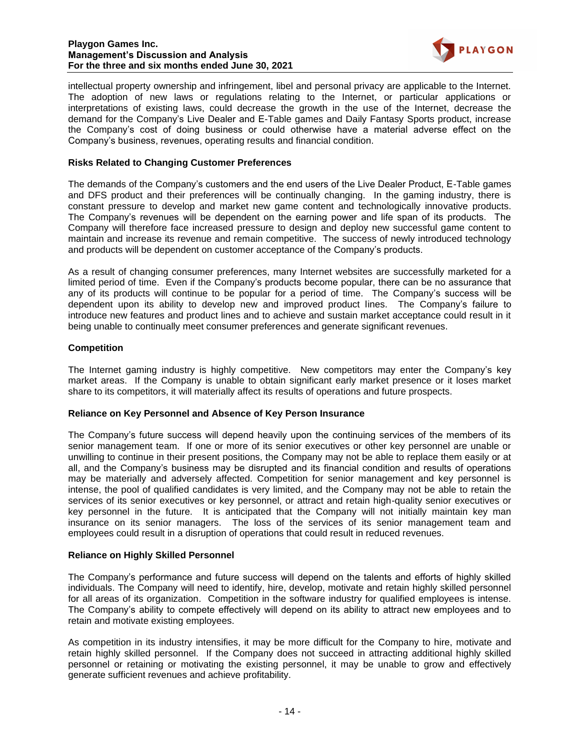#### **Playgon Games Inc. Management's Discussion and Analysis For the three and six months ended June 30, 2021**



intellectual property ownership and infringement, libel and personal privacy are applicable to the Internet. The adoption of new laws or regulations relating to the Internet, or particular applications or interpretations of existing laws, could decrease the growth in the use of the Internet, decrease the demand for the Company's Live Dealer and E-Table games and Daily Fantasy Sports product, increase the Company's cost of doing business or could otherwise have a material adverse effect on the Company's business, revenues, operating results and financial condition.

# **Risks Related to Changing Customer Preferences**

The demands of the Company's customers and the end users of the Live Dealer Product, E-Table games and DFS product and their preferences will be continually changing. In the gaming industry, there is constant pressure to develop and market new game content and technologically innovative products. The Company's revenues will be dependent on the earning power and life span of its products. The Company will therefore face increased pressure to design and deploy new successful game content to maintain and increase its revenue and remain competitive. The success of newly introduced technology and products will be dependent on customer acceptance of the Company's products.

As a result of changing consumer preferences, many Internet websites are successfully marketed for a limited period of time. Even if the Company's products become popular, there can be no assurance that any of its products will continue to be popular for a period of time. The Company's success will be dependent upon its ability to develop new and improved product lines. The Company's failure to introduce new features and product lines and to achieve and sustain market acceptance could result in it being unable to continually meet consumer preferences and generate significant revenues.

# **Competition**

The Internet gaming industry is highly competitive. New competitors may enter the Company's key market areas. If the Company is unable to obtain significant early market presence or it loses market share to its competitors, it will materially affect its results of operations and future prospects.

### **Reliance on Key Personnel and Absence of Key Person Insurance**

The Company's future success will depend heavily upon the continuing services of the members of its senior management team. If one or more of its senior executives or other key personnel are unable or unwilling to continue in their present positions, the Company may not be able to replace them easily or at all, and the Company's business may be disrupted and its financial condition and results of operations may be materially and adversely affected. Competition for senior management and key personnel is intense, the pool of qualified candidates is very limited, and the Company may not be able to retain the services of its senior executives or key personnel, or attract and retain high-quality senior executives or key personnel in the future. It is anticipated that the Company will not initially maintain key man insurance on its senior managers. The loss of the services of its senior management team and employees could result in a disruption of operations that could result in reduced revenues.

### **Reliance on Highly Skilled Personnel**

The Company's performance and future success will depend on the talents and efforts of highly skilled individuals. The Company will need to identify, hire, develop, motivate and retain highly skilled personnel for all areas of its organization. Competition in the software industry for qualified employees is intense. The Company's ability to compete effectively will depend on its ability to attract new employees and to retain and motivate existing employees.

As competition in its industry intensifies, it may be more difficult for the Company to hire, motivate and retain highly skilled personnel. If the Company does not succeed in attracting additional highly skilled personnel or retaining or motivating the existing personnel, it may be unable to grow and effectively generate sufficient revenues and achieve profitability.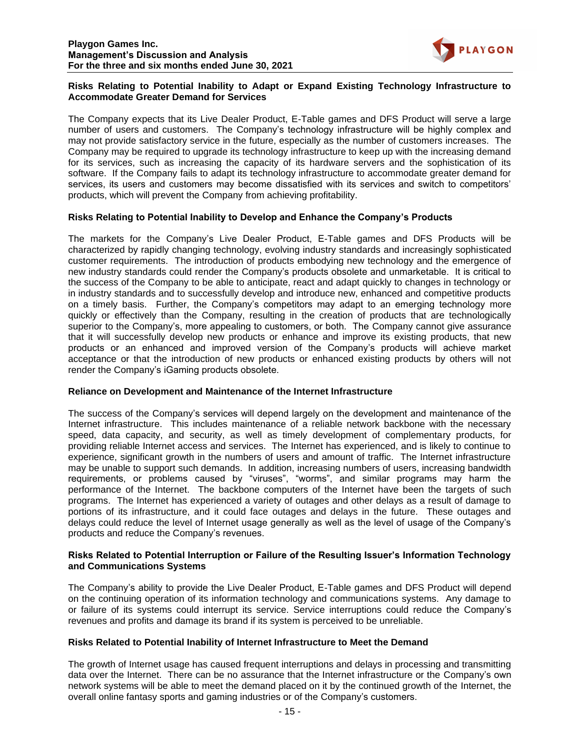

# **Risks Relating to Potential Inability to Adapt or Expand Existing Technology Infrastructure to Accommodate Greater Demand for Services**

The Company expects that its Live Dealer Product, E-Table games and DFS Product will serve a large number of users and customers. The Company's technology infrastructure will be highly complex and may not provide satisfactory service in the future, especially as the number of customers increases. The Company may be required to upgrade its technology infrastructure to keep up with the increasing demand for its services, such as increasing the capacity of its hardware servers and the sophistication of its software. If the Company fails to adapt its technology infrastructure to accommodate greater demand for services, its users and customers may become dissatisfied with its services and switch to competitors' products, which will prevent the Company from achieving profitability.

# **Risks Relating to Potential Inability to Develop and Enhance the Company's Products**

The markets for the Company's Live Dealer Product, E-Table games and DFS Products will be characterized by rapidly changing technology, evolving industry standards and increasingly sophisticated customer requirements. The introduction of products embodying new technology and the emergence of new industry standards could render the Company's products obsolete and unmarketable. It is critical to the success of the Company to be able to anticipate, react and adapt quickly to changes in technology or in industry standards and to successfully develop and introduce new, enhanced and competitive products on a timely basis. Further, the Company's competitors may adapt to an emerging technology more quickly or effectively than the Company, resulting in the creation of products that are technologically superior to the Company's, more appealing to customers, or both. The Company cannot give assurance that it will successfully develop new products or enhance and improve its existing products, that new products or an enhanced and improved version of the Company's products will achieve market acceptance or that the introduction of new products or enhanced existing products by others will not render the Company's iGaming products obsolete.

# **Reliance on Development and Maintenance of the Internet Infrastructure**

The success of the Company's services will depend largely on the development and maintenance of the Internet infrastructure. This includes maintenance of a reliable network backbone with the necessary speed, data capacity, and security, as well as timely development of complementary products, for providing reliable Internet access and services. The Internet has experienced, and is likely to continue to experience, significant growth in the numbers of users and amount of traffic. The Internet infrastructure may be unable to support such demands. In addition, increasing numbers of users, increasing bandwidth requirements, or problems caused by "viruses", "worms", and similar programs may harm the performance of the Internet. The backbone computers of the Internet have been the targets of such programs. The Internet has experienced a variety of outages and other delays as a result of damage to portions of its infrastructure, and it could face outages and delays in the future. These outages and delays could reduce the level of Internet usage generally as well as the level of usage of the Company's products and reduce the Company's revenues.

### **Risks Related to Potential Interruption or Failure of the Resulting Issuer's Information Technology and Communications Systems**

The Company's ability to provide the Live Dealer Product, E-Table games and DFS Product will depend on the continuing operation of its information technology and communications systems. Any damage to or failure of its systems could interrupt its service. Service interruptions could reduce the Company's revenues and profits and damage its brand if its system is perceived to be unreliable.

### **Risks Related to Potential Inability of Internet Infrastructure to Meet the Demand**

The growth of Internet usage has caused frequent interruptions and delays in processing and transmitting data over the Internet. There can be no assurance that the Internet infrastructure or the Company's own network systems will be able to meet the demand placed on it by the continued growth of the Internet, the overall online fantasy sports and gaming industries or of the Company's customers.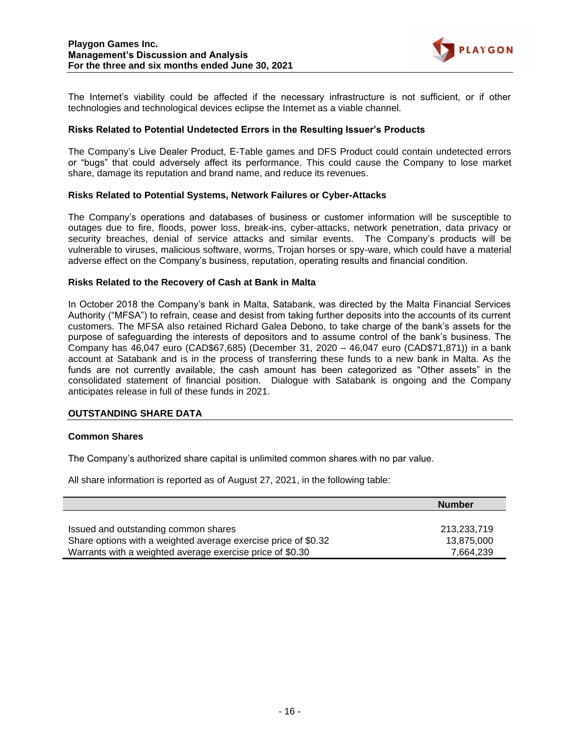

The Internet's viability could be affected if the necessary infrastructure is not sufficient, or if other technologies and technological devices eclipse the Internet as a viable channel.

#### **Risks Related to Potential Undetected Errors in the Resulting Issuer's Products**

The Company's Live Dealer Product, E-Table games and DFS Product could contain undetected errors or "bugs" that could adversely affect its performance. This could cause the Company to lose market share, damage its reputation and brand name, and reduce its revenues.

#### **Risks Related to Potential Systems, Network Failures or Cyber-Attacks**

The Company's operations and databases of business or customer information will be susceptible to outages due to fire, floods, power loss, break-ins, cyber-attacks, network penetration, data privacy or security breaches, denial of service attacks and similar events. The Company's products will be vulnerable to viruses, malicious software, worms, Trojan horses or spy-ware, which could have a material adverse effect on the Company's business, reputation, operating results and financial condition.

#### **Risks Related to the Recovery of Cash at Bank in Malta**

In October 2018 the Company's bank in Malta, Satabank, was directed by the Malta Financial Services Authority ("MFSA") to refrain, cease and desist from taking further deposits into the accounts of its current customers. The MFSA also retained Richard Galea Debono, to take charge of the bank's assets for the purpose of safeguarding the interests of depositors and to assume control of the bank's business. The Company has 46,047 euro (CAD\$67,685) (December 31, 2020 – 46,047 euro (CAD\$71,871)) in a bank account at Satabank and is in the process of transferring these funds to a new bank in Malta. As the funds are not currently available, the cash amount has been categorized as "Other assets" in the consolidated statement of financial position. Dialogue with Satabank is ongoing and the Company anticipates release in full of these funds in 2021.

### **OUTSTANDING SHARE DATA**

#### **Common Shares**

The Company's authorized share capital is unlimited common shares with no par value.

All share information is reported as of August 27, 2021, in the following table:

|                                                                | <b>Number</b> |
|----------------------------------------------------------------|---------------|
|                                                                |               |
| Issued and outstanding common shares                           | 213.233.719   |
| Share options with a weighted average exercise price of \$0.32 | 13.875.000    |
| Warrants with a weighted average exercise price of \$0.30      | 7.664.239     |